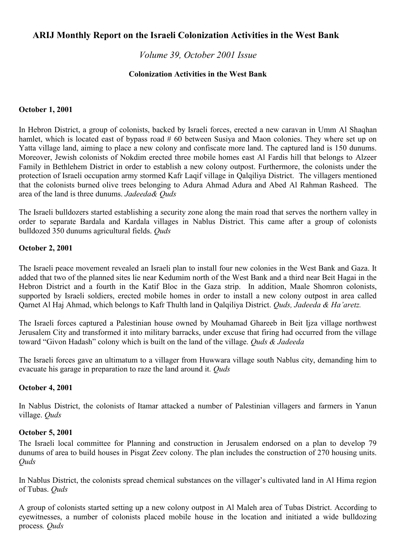# **ARIJ Monthly Report on the Israeli Colonization Activities in the West Bank**

# *Volume 39, October 2001 Issue*

### **Colonization Activities in the West Bank**

### **October 1, 2001**

In Hebron District, a group of colonists, backed by Israeli forces, erected a new caravan in Umm Al Shaqhan hamlet, which is located east of bypass road # 60 between Susiya and Maon colonies. They where set up on Yatta village land, aiming to place a new colony and confiscate more land. The captured land is 150 dunums. Moreover, Jewish colonists of Nokdim erected three mobile homes east Al Fardis hill that belongs to Alzeer Family in Bethlehem District in order to establish a new colony outpost. Furthermore, the colonists under the protection of Israeli occupation army stormed Kafr Laqif village in Qalqiliya District. The villagers mentioned that the colonists burned olive trees belonging to Adura Ahmad Adura and Abed Al Rahman Rasheed. The area of the land is three dunums. *Jadeeda& Quds*

The Israeli bulldozers started establishing a security zone along the main road that serves the northern valley in order to separate Bardala and Kardala villages in Nablus District. This came after a group of colonists bulldozed 350 dunums agricultural fields. *Quds*

### **October 2, 2001**

The Israeli peace movement revealed an Israeli plan to install four new colonies in the West Bank and Gaza. It added that two of the planned sites lie near Kedumim north of the West Bank and a third near Beit Hagai in the Hebron District and a fourth in the Katif Bloc in the Gaza strip. In addition, Maale Shomron colonists, supported by Israeli soldiers, erected mobile homes in order to install a new colony outpost in area called Qarnet Al Haj Ahmad, which belongs to Kafr Thulth land in Qalqiliya District. *Quds, Jadeeda & Ha'aretz.*

The Israeli forces captured a Palestinian house owned by Mouhamad Ghareeb in Beit Ijza village northwest Jerusalem City and transformed it into military barracks, under excuse that firing had occurred from the village toward "Givon Hadash" colony which is built on the land of the village. *Quds & Jadeeda*

The Israeli forces gave an ultimatum to a villager from Huwwara village south Nablus city, demanding him to evacuate his garage in preparation to raze the land around it*. Quds*

### **October 4, 2001**

In Nablus District, the colonists of Itamar attacked a number of Palestinian villagers and farmers in Yanun village. *Quds*

### **October 5, 2001**

The Israeli local committee for Planning and construction in Jerusalem endorsed on a plan to develop 79 dunums of area to build houses in Pisgat Zeev colony. The plan includes the construction of 270 housing units. *Quds*

In Nablus District, the colonists spread chemical substances on the villager's cultivated land in Al Hima region of Tubas. *Quds*

A group of colonists started setting up a new colony outpost in Al Maleh area of Tubas District. According to eyewitnesses, a number of colonists placed mobile house in the location and initiated a wide bulldozing process*. Quds*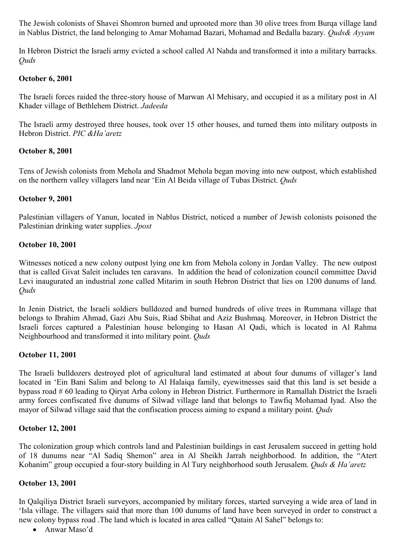The Jewish colonists of Shavei Shomron burned and uprooted more than 30 olive trees from Burqa village land in Nablus District, the land belonging to Amar Mohamad Bazari, Mohamad and Bedalla bazary. *Quds& Ayyam*

In Hebron District the Israeli army evicted a school called Al Nahda and transformed it into a military barracks. *Quds*

## **October 6, 2001**

The Israeli forces raided the three-story house of Marwan Al Mehisary, and occupied it as a military post in Al Khader village of Bethlehem District. *Jadeeda*

The Israeli army destroyed three houses, took over 15 other houses, and turned them into military outposts in Hebron District. *PIC &Ha'aretz*

# **October 8, 2001**

Tens of Jewish colonists from Mehola and Shadmot Mehola began moving into new outpost, which established on the northern valley villagers land near 'Ein Al Beida village of Tubas District. *Quds*

# **October 9, 2001**

Palestinian villagers of Yanun, located in Nablus District, noticed a number of Jewish colonists poisoned the Palestinian drinking water supplies. *Jpost*

### **October 10, 2001**

Witnesses noticed a new colony outpost lying one km from Mehola colony in Jordan Valley. The new outpost that is called Givat Saleit includes ten caravans. In addition the head of colonization council committee David Levi inaugurated an industrial zone called Mitarim in south Hebron District that lies on 1200 dunums of land. *Quds*

In Jenin District, the Israeli soldiers bulldozed and burned hundreds of olive trees in Rummana village that belongs to Ibrahim Ahmad, Gazi Abu Suis, Riad Sbihat and Aziz Bushmaq. Moreover, in Hebron District the Israeli forces captured a Palestinian house belonging to Hasan Al Qadi, which is located in Al Rahma Neighbourhood and transformed it into military point. *Quds*

### **October 11, 2001**

The Israeli bulldozers destroyed plot of agricultural land estimated at about four dunums of villager's land located in 'Ein Bani Salim and belong to Al Halaiqa family, eyewitnesses said that this land is set beside a bypass road # 60 leading to Qiryat Arba colony in Hebron District. Furthermore in Ramallah District the Israeli army forces confiscated five dunums of Silwad village land that belongs to Tawfiq Mohamad Iyad. Also the mayor of Silwad village said that the confiscation process aiming to expand a military point. *Quds*

# **October 12, 2001**

The colonization group which controls land and Palestinian buildings in east Jerusalem succeed in getting hold of 18 dunums near "Al Sadiq Shemon" area in Al Sheikh Jarrah neighborhood. In addition, the "Atert Kohanim" group occupied a four-story building in Al Tury neighborhood south Jerusalem. *Quds & Ha'aretz*

### **October 13, 2001**

In Qalqiliya District Israeli surveyors, accompanied by military forces, started surveying a wide area of land in 'Isla village. The villagers said that more than 100 dunums of land have been surveyed in order to construct a new colony bypass road .The land which is located in area called "Qatain Al Sahel" belongs to:

Anwar Maso'd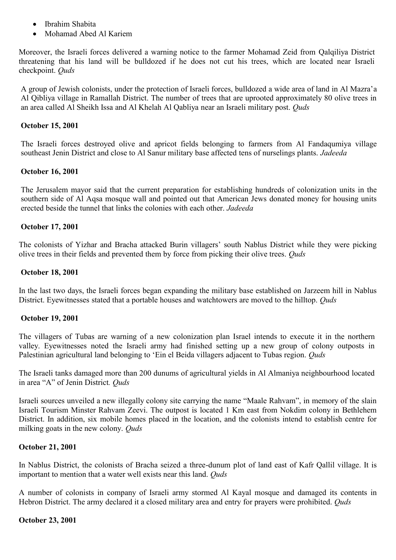- Ibrahim Shabita
- Mohamad Abed Al Kariem

Moreover, the Israeli forces delivered a warning notice to the farmer Mohamad Zeid from Qalqiliya District threatening that his land will be bulldozed if he does not cut his trees, which are located near Israeli checkpoint. *Quds*

A group of Jewish colonists, under the protection of Israeli forces, bulldozed a wide area of land in Al Mazra'a Al Qibliya village in Ramallah District. The number of trees that are uprooted approximately 80 olive trees in an area called Al Sheikh Issa and Al Khelah Al Qabliya near an Israeli military post. *Quds*

### **October 15, 2001**

The Israeli forces destroyed olive and apricot fields belonging to farmers from Al Fandaqumiya village southeast Jenin District and close to Al Sanur military base affected tens of nurselings plants. *Jadeeda*

### **October 16, 2001**

The Jerusalem mayor said that the current preparation for establishing hundreds of colonization units in the southern side of Al Aqsa mosque wall and pointed out that American Jews donated money for housing units erected beside the tunnel that links the colonies with each other. *Jadeeda*

### **October 17, 2001**

The colonists of Yizhar and Bracha attacked Burin villagers' south Nablus District while they were picking olive trees in their fields and prevented them by force from picking their olive trees. *Quds*

### **October 18, 2001**

In the last two days, the Israeli forces began expanding the military base established on Jarzeem hill in Nablus District. Eyewitnesses stated that a portable houses and watchtowers are moved to the hilltop. *Quds*

### **October 19, 2001**

The villagers of Tubas are warning of a new colonization plan Israel intends to execute it in the northern valley. Eyewitnesses noted the Israeli army had finished setting up a new group of colony outposts in Palestinian agricultural land belonging to 'Ein el Beida villagers adjacent to Tubas region. *Quds*

The Israeli tanks damaged more than 200 dunums of agricultural yields in Al Almaniya neighbourhood located in area "A" of Jenin District*. Quds*

Israeli sources unveiled a new illegally colony site carrying the name "Maale Rahvam", in memory of the slain Israeli Tourism Minster Rahvam Zeevi. The outpost is located 1 Km east from Nokdim colony in Bethlehem District. In addition, six mobile homes placed in the location, and the colonists intend to establish centre for milking goats in the new colony. *Quds*

### **October 21, 2001**

In Nablus District, the colonists of Bracha seized a three-dunum plot of land east of Kafr Qallil village. It is important to mention that a water well exists near this land. *Quds*

A number of colonists in company of Israeli army stormed Al Kayal mosque and damaged its contents in Hebron District. The army declared it a closed military area and entry for prayers were prohibited. *Quds*

### **October 23, 2001**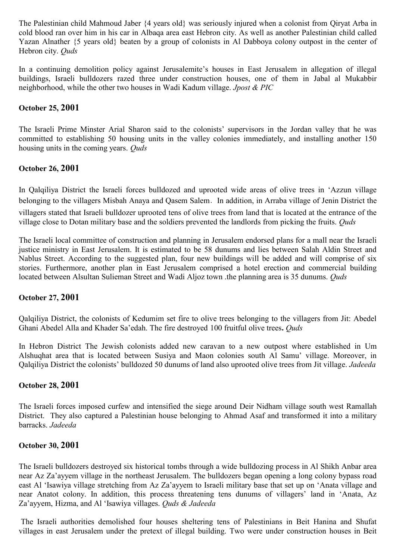The Palestinian child Mahmoud Jaber {4 years old} was seriously injured when a colonist from Qiryat Arba in cold blood ran over him in his car in Albaqa area east Hebron city. As well as another Palestinian child called Yazan Alnather {5 years old} beaten by a group of colonists in Al Dabboya colony outpost in the center of Hebron city. *Quds*

In a continuing demolition policy against Jerusalemite's houses in East Jerusalem in allegation of illegal buildings, Israeli bulldozers razed three under construction houses, one of them in Jabal al Mukabbir neighborhood, while the other two houses in Wadi Kadum village. *Jpost & PIC*

## **October 25, 2001**

The Israeli Prime Minster Arial Sharon said to the colonists' supervisors in the Jordan valley that he was committed to establishing 50 housing units in the valley colonies immediately, and installing another 150 housing units in the coming years. *Quds*

# **October 26, 2001**

In Qalqiliya District the Israeli forces bulldozed and uprooted wide areas of olive trees in 'Azzun village belonging to the villagers Misbah Anaya and Qasem Salem. In addition, in Arraba village of Jenin District the villagers stated that Israeli bulldozer uprooted tens of olive trees from land that is located at the entrance of the village close to Dotan military base and the soldiers prevented the landlords from picking the fruits. *Quds*

The Israeli local committee of construction and planning in Jerusalem endorsed plans for a mall near the Israeli justice ministry in East Jerusalem. It is estimated to be 58 dunums and lies between Salah Aldin Street and Nablus Street. According to the suggested plan, four new buildings will be added and will comprise of six stories. Furthermore, another plan in East Jerusalem comprised a hotel erection and commercial building located between Alsultan Sulieman Street and Wadi Aljoz town .the planning area is 35 dunums. *Quds*

### **October 27, 2001**

Qalqiliya District, the colonists of Kedumim set fire to olive trees belonging to the villagers from Jit: Abedel Ghani Abedel Alla and Khader Sa'edah. The fire destroyed 100 fruitful olive trees**.** *Quds*

In Hebron District The Jewish colonists added new caravan to a new outpost where established in Um Alshuqhat area that is located between Susiya and Maon colonies south Al Samu' village. Moreover, in Qalqiliya District the colonists' bulldozed 50 dunums of land also uprooted olive trees from Jit village. *Jadeeda*

### **October 28, 2001**

The Israeli forces imposed curfew and intensified the siege around Deir Nidham village south west Ramallah District. They also captured a Palestinian house belonging to Ahmad Asaf and transformed it into a military barracks. *Jadeeda*

### **October 30, 2001**

The Israeli bulldozers destroyed six historical tombs through a wide bulldozing process in Al Shikh Anbar area near Az Za'ayyem village in the northeast Jerusalem. The bulldozers began opening a long colony bypass road east Al 'Isawiya village stretching from Az Za'ayyem to Israeli military base that set up on 'Anata village and near Anatot colony. In addition, this process threatening tens dunums of villagers' land in 'Anata, Az Za'ayyem, Hizma, and Al 'Isawiya villages. *Quds & Jadeeda*

The Israeli authorities demolished four houses sheltering tens of Palestinians in Beit Hanina and Shufat villages in east Jerusalem under the pretext of illegal building. Two were under construction houses in Beit